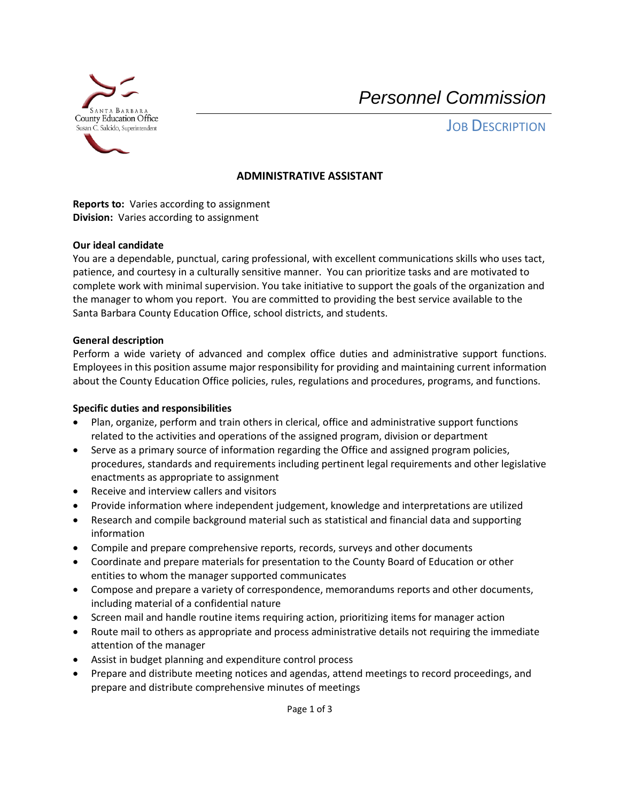

*Personnel Commission*

**JOB DESCRIPTION** 

### **ADMINISTRATIVE ASSISTANT**

**Reports to:** Varies according to assignment **Division:** Varies according to assignment

### **Our ideal candidate**

You are a dependable, punctual, caring professional, with excellent communications skills who uses tact, patience, and courtesy in a culturally sensitive manner. You can prioritize tasks and are motivated to complete work with minimal supervision. You take initiative to support the goals of the organization and the manager to whom you report. You are committed to providing the best service available to the Santa Barbara County Education Office, school districts, and students.

#### **General description**

Perform a wide variety of advanced and complex office duties and administrative support functions. Employees in this position assume major responsibility for providing and maintaining current information about the County Education Office policies, rules, regulations and procedures, programs, and functions.

### **Specific duties and responsibilities**

- Plan, organize, perform and train others in clerical, office and administrative support functions related to the activities and operations of the assigned program, division or department
- Serve as a primary source of information regarding the Office and assigned program policies, procedures, standards and requirements including pertinent legal requirements and other legislative enactments as appropriate to assignment
- Receive and interview callers and visitors
- Provide information where independent judgement, knowledge and interpretations are utilized
- Research and compile background material such as statistical and financial data and supporting information
- Compile and prepare comprehensive reports, records, surveys and other documents
- Coordinate and prepare materials for presentation to the County Board of Education or other entities to whom the manager supported communicates
- Compose and prepare a variety of correspondence, memorandums reports and other documents, including material of a confidential nature
- Screen mail and handle routine items requiring action, prioritizing items for manager action
- Route mail to others as appropriate and process administrative details not requiring the immediate attention of the manager
- Assist in budget planning and expenditure control process
- Prepare and distribute meeting notices and agendas, attend meetings to record proceedings, and prepare and distribute comprehensive minutes of meetings

Page 1 of 3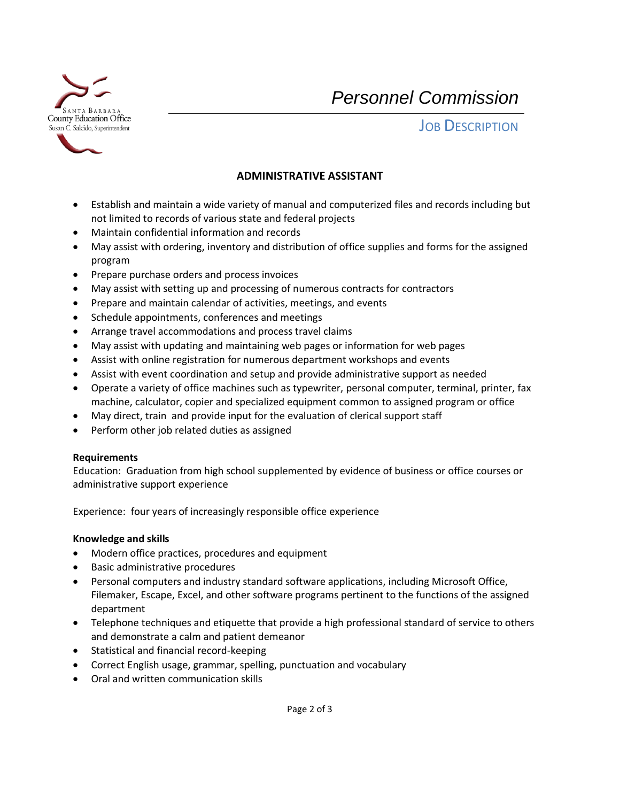

*Personnel Commission*

**JOB DESCRIPTION** 

# **ADMINISTRATIVE ASSISTANT**

- Establish and maintain a wide variety of manual and computerized files and records including but not limited to records of various state and federal projects
- Maintain confidential information and records
- May assist with ordering, inventory and distribution of office supplies and forms for the assigned program
- Prepare purchase orders and process invoices
- May assist with setting up and processing of numerous contracts for contractors
- Prepare and maintain calendar of activities, meetings, and events
- Schedule appointments, conferences and meetings
- Arrange travel accommodations and process travel claims
- May assist with updating and maintaining web pages or information for web pages
- Assist with online registration for numerous department workshops and events
- Assist with event coordination and setup and provide administrative support as needed
- Operate a variety of office machines such as typewriter, personal computer, terminal, printer, fax machine, calculator, copier and specialized equipment common to assigned program or office
- May direct, train and provide input for the evaluation of clerical support staff
- Perform other job related duties as assigned

### **Requirements**

Education: Graduation from high school supplemented by evidence of business or office courses or administrative support experience

Experience: four years of increasingly responsible office experience

### **Knowledge and skills**

- Modern office practices, procedures and equipment
- Basic administrative procedures
- Personal computers and industry standard software applications, including Microsoft Office, Filemaker, Escape, Excel, and other software programs pertinent to the functions of the assigned department
- Telephone techniques and etiquette that provide a high professional standard of service to others and demonstrate a calm and patient demeanor
- Statistical and financial record-keeping
- Correct English usage, grammar, spelling, punctuation and vocabulary
- Oral and written communication skills